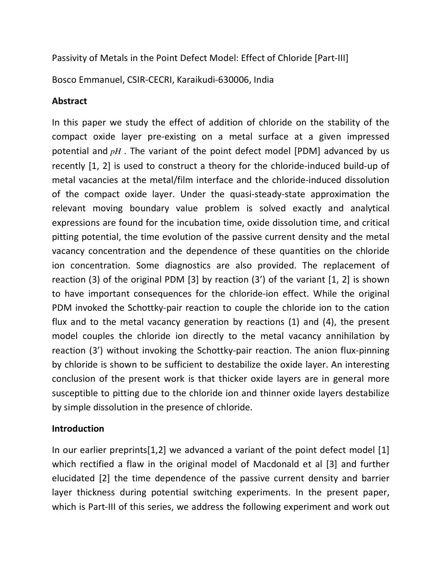Passivity of Metals in the Point Defect Model: Effect of Chloride [Part-III]

Bosco Emmanuel, CSIR-CECRI, Karaikudi-630006, India

## **Abstract**

In this paper we study the effect of addition of chloride on the stability of the compact oxide layer pre-existing on a metal surface at a given impressed potential and *pH* . The variant of the point defect model [PDM] advanced by us recently [1, 2] is used to construct a theory for the chloride-induced build-up of metal vacancies at the metal/film interface and the chloride-induced dissolution of the compact oxide layer. Under the quasi-steady-state approximation the relevant moving boundary value problem is solved exactly and analytical expressions are found for the incubation time, oxide dissolution time, and critical pitting potential, the time evolution of the passive current density and the metal vacancy concentration and the dependence of these quantities on the chloride ion concentration. Some diagnostics are also provided. The replacement of reaction (3) of the original PDM [3] by reaction (3') of the variant [1, 2] is shown to have important consequences for the chloride-ion effect. While the original PDM invoked the Schottky-pair reaction to couple the chloride ion to the cation flux and to the metal vacancy generation by reactions (1) and (4), the present model couples the chloride ion directly to the metal vacancy annihilation by reaction (3') without invoking the Schottky-pair reaction. The anion flux-pinning by chloride is shown to be sufficient to destabilize the oxide layer. An interesting conclusion of the present work is that thicker oxide layers are in general more susceptible to pitting due to the chloride ion and thinner oxide layers destabilize by simple dissolution in the presence of chloride.

## **Introduction**

In our earlier preprints[1,2] we advanced a variant of the point defect model [1] which rectified a flaw in the original model of Macdonald et al [3] and further elucidated [2] the time dependence of the passive current density and barrier layer thickness during potential switching experiments. In the present paper, which is Part-III of this series, we address the following experiment and work out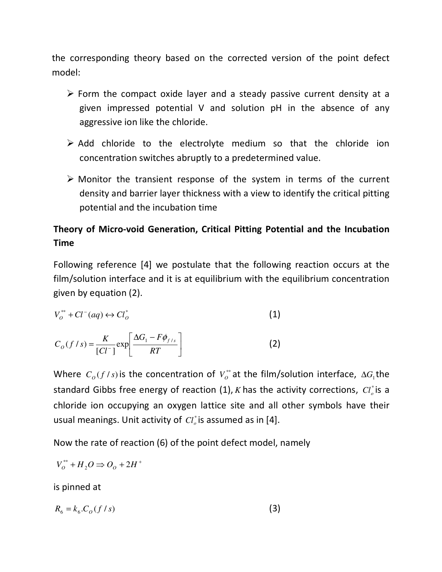the corresponding theory based on the corrected version of the point defect model:

- $\triangleright$  Form the compact oxide layer and a steady passive current density at a given impressed potential V and solution pH in the absence of any aggressive ion like the chloride.
- $\triangleright$  Add chloride to the electrolyte medium so that the chloride ion concentration switches abruptly to a predetermined value.
- $\triangleright$  Monitor the transient response of the system in terms of the current density and barrier layer thickness with a view to identify the critical pitting potential and the incubation time

# **Theory of Micro-void Generation, Critical Pitting Potential and the Incubation Time**

Following reference [4] we postulate that the following reaction occurs at the film/solution interface and it is at equilibrium with the equilibrium concentration given by equation (2).

$$
V_o^{**} + Cl^-(aq) \leftrightarrow Cl_o^*
$$
 (1)

$$
C_O(f/s) = \frac{K}{[Cl^-]} \exp\left[\frac{\Delta G_1 - F\phi_{f/s}}{RT}\right]
$$
 (2)

Where  $C_o(f/s)$  is the concentration of  $V_o^*$  at the film/solution interface,  $\Delta G_i$ the standard Gibbs free energy of reaction (1),  $K$  has the activity corrections,  $Cl_o^*$  is a chloride ion occupying an oxygen lattice site and all other symbols have their usual meanings. Unit activity of  $Cl_o^*$  is assumed as in [4].

Now the rate of reaction (6) of the point defect model, namely

$$
V_o^{**} + H_2O \Rightarrow O_0 + 2H^+
$$

is pinned at

$$
R_6 = k_6 \cdot C_O \left( f / s \right) \tag{3}
$$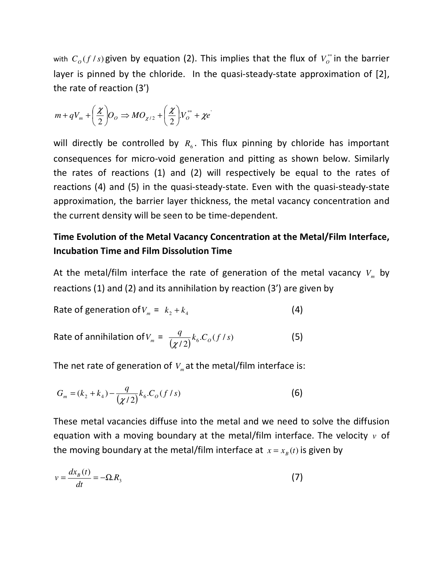with  $C_o(f/s)$  given by equation (2). This implies that the flux of  $V_o^*$  in the barrier layer is pinned by the chloride. In the quasi-steady-state approximation of [2], the rate of reaction (3')

$$
m + qV_m + \left(\frac{\chi}{2}\right)O_O \Rightarrow MO_{\chi/2} + \left(\frac{\chi}{2}\right)V_O^{**} + \chi e'
$$

will directly be controlled by  $R_6$ . This flux pinning by chloride has important consequences for micro-void generation and pitting as shown below. Similarly the rates of reactions (1) and (2) will respectively be equal to the rates of reactions (4) and (5) in the quasi-steady-state. Even with the quasi-steady-state approximation, the barrier layer thickness, the metal vacancy concentration and the current density will be seen to be time-dependent.

## **Time Evolution of the Metal Vacancy Concentration at the Metal/Film Interface, Incubation Time and Film Dissolution Time**

At the metal/film interface the rate of generation of the metal vacancy  $V_m$  by reactions (1) and (2) and its annihilation by reaction (3') are given by

Rate of generation of 
$$
V_m = k_2 + k_4
$$
 (4)

Rate of annihilation of 
$$
V_m = \frac{q}{(\chi/2)} k_6 C_o(f/s)
$$
 (5)

The net rate of generation of  $V_m$  at the metal/film interface is:

$$
G_m = (k_2 + k_4) - \frac{q}{(\chi/2)} k_6 \cdot C_O(f/s)
$$
\n(6)

These metal vacancies diffuse into the metal and we need to solve the diffusion equation with a moving boundary at the metal/film interface. The velocity *v* of the moving boundary at the metal/film interface at  $x = x_B(t)$  is given by

$$
v = \frac{dx_{B}(t)}{dt} = -\Omega \cdot R_{3}
$$
 (7)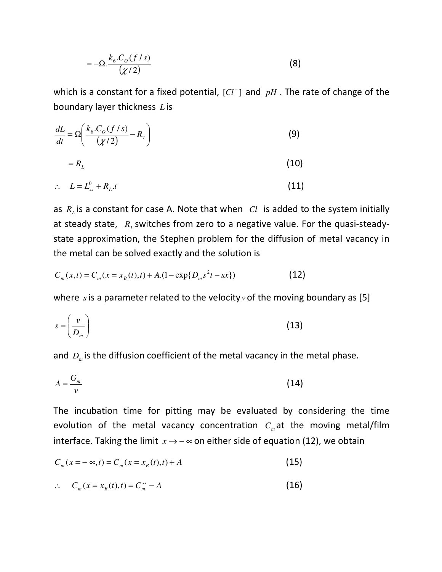$$
=-\Omega.\frac{k_6.C_o(f/s)}{(\chi/2)}\tag{8}
$$

which is a constant for a fixed potential,  $[Cl^-]$  and  $pH$ . The rate of change of the boundary layer thickness *L* is

$$
\frac{dL}{dt} = \Omega \left( \frac{k_6 C_o (f/s)}{(\chi/2)} - R_7 \right)
$$
(9)  
=  $R_L$ 

$$
\therefore L = L_{ss}^0 + R_L \, t \tag{11}
$$

as  $R$ <sup>*L*</sup> is a constant for case A. Note that when  $|CI^-|$  is added to the system initially at steady state,  $R_{L}$  switches from zero to a negative value. For the quasi-steadystate approximation, the Stephen problem for the diffusion of metal vacancy in the metal can be solved exactly and the solution is

$$
C_m(x,t) = C_m(x = x_B(t),t) + A(1 - \exp\{D_m s^2 t - sx\})
$$
\n(12)

where *s* is a parameter related to the velocity *v* of the moving boundary as [5]

$$
s = \left(\frac{v}{D_m}\right) \tag{13}
$$

and *D<sup>m</sup>* is the diffusion coefficient of the metal vacancy in the metal phase.

$$
A = \frac{G_m}{v} \tag{14}
$$

The incubation time for pitting may be evaluated by considering the time evolution of the metal vacancy concentration  $C_m$  at the moving metal/film interface. Taking the limit  $x \rightarrow -\infty$  on either side of equation (12), we obtain

$$
C_m(x = -\infty, t) = C_m(x = x_B(t), t) + A
$$
\n(15)

$$
\therefore \qquad C_m(x = x_B(t), t) = C_m^{ss} - A \tag{16}
$$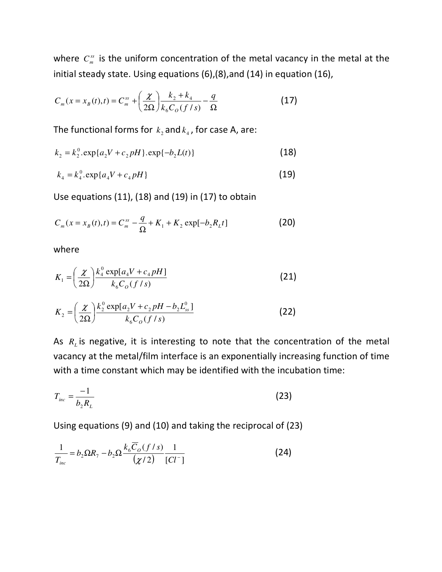where  $C_m^{ss}$  is the uniform concentration of the metal vacancy in the metal at the initial steady state. Using equations (6),(8),and (14) in equation (16),

$$
C_m(x = x_B(t), t) = C_m^{ss} + \left(\frac{\chi}{2\Omega}\right) \frac{k_2 + k_4}{k_6 C_0 (f/s)} - \frac{q}{\Omega}
$$
 (17)

The functional forms for  $k_2$  and  $k_4$ , for case A, are:

$$
k_2 = k_2^0 \cdot \exp\{a_2 V + c_2 pH\} \cdot \exp\{-b_2 L(t)\}\tag{18}
$$

$$
k_4 = k_4^0 \cdot \exp\{a_4 V + c_4 pH\} \tag{19}
$$

Use equations (11), (18) and (19) in (17) to obtain

$$
C_m(x = x_B(t), t) = C_m^{ss} - \frac{q}{\Omega} + K_1 + K_2 \exp[-b_2 R_L t]
$$
 (20)

where

$$
K_1 = \left(\frac{\chi}{2\Omega}\right) \frac{k_4^0 \exp[a_4 V + c_4 pH]}{k_6 C_0 (f/s)}
$$
 (21)

$$
K_2 = \left(\frac{\chi}{2\Omega}\right) \frac{k_2^0 \exp[a_2 V + c_2 pH - b_2 L_{ss}^0]}{k_6 C_o (f/s)}
$$
(22)

As *R<sup>L</sup>* is negative, it is interesting to note that the concentration of the metal vacancy at the metal/film interface is an exponentially increasing function of time with a time constant which may be identified with the incubation time:

$$
T_{inc} = \frac{-1}{b_2 R_L} \tag{23}
$$

Using equations (9) and (10) and taking the reciprocal of (23)

$$
\frac{1}{T_{inc}} = b_2 \Omega R_7 - b_2 \Omega \frac{k_6 \overline{C}_O(f/s)}{(\chi/2)} \frac{1}{[Cl^-]}
$$
(24)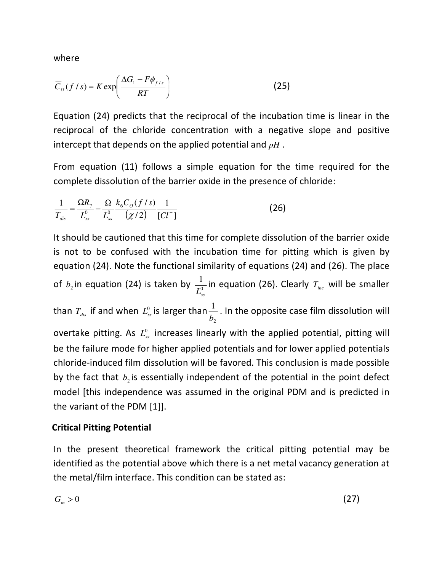where

$$
\overline{C}_O(f/s) = K \exp\left(\frac{\Delta G_1 - F\phi_{f/s}}{RT}\right)
$$
 (25)

Equation (24) predicts that the reciprocal of the incubation time is linear in the reciprocal of the chloride concentration with a negative slope and positive intercept that depends on the applied potential and *pH* .

From equation (11) follows a simple equation for the time required for the complete dissolution of the barrier oxide in the presence of chloride:

$$
\frac{1}{T_{dis}} = \frac{\Omega R_7}{L_{ss}^0} - \frac{\Omega}{L_{ss}^0} \frac{k_6 \overline{C}_o(f/s)}{(\chi/2)} \frac{1}{[Cl^-]}
$$
(26)

It should be cautioned that this time for complete dissolution of the barrier oxide is not to be confused with the incubation time for pitting which is given by equation (24). Note the functional similarity of equations (24) and (26). The place of  $b_2$  in equation (24) is taken by  $\frac{1}{I^0}$  $L_{ss}^0$ in equation (26). Clearly *Tinc* will be smaller than  $T_{dis}$  if and when  $L_{ss}^0$  is larger than 2 1 *b* . In the opposite case film dissolution will overtake pitting. As  $L_{ss}^0$  increases linearly with the applied potential, pitting will be the failure mode for higher applied potentials and for lower applied potentials chloride-induced film dissolution will be favored. This conclusion is made possible by the fact that  $b_2$  is essentially independent of the potential in the point defect model [this independence was assumed in the original PDM and is predicted in the variant of the PDM [1]].

### **Critical Pitting Potential**

In the present theoretical framework the critical pitting potential may be identified as the potential above which there is a net metal vacancy generation at the metal/film interface. This condition can be stated as:

$$
G_m > 0 \tag{27}
$$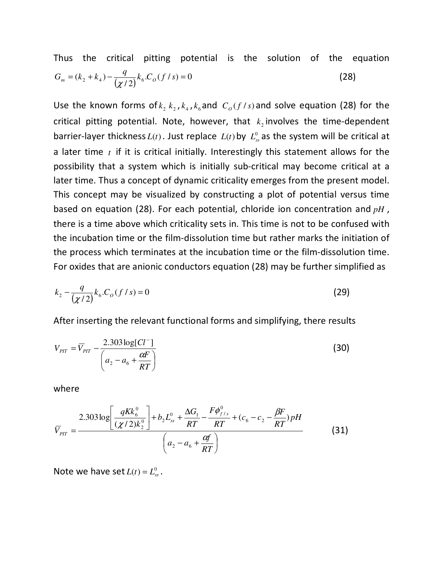Thus the critical pitting potential is the solution of the equation  $G_m = (k_2 + k_4) - \frac{q}{(\chi/2)} k_6 \cdot C_o(f/s) = 0$  $(28)$ 

Use the known forms of  $k_2$   $k_2$ ,  $k_4$ ,  $k_6$  and  $C_o$  (*f* / *s*) and solve equation (28) for the critical pitting potential. Note, however, that  $k_2$  involves the time-dependent barrier-layer thickness  $L(t)$ . Just replace  $L(t)$  by  $L_{ss}^0$  as the system will be critical at a later time *t* if it is critical initially. Interestingly this statement allows for the possibility that a system which is initially sub-critical may become critical at a later time. Thus a concept of dynamic criticality emerges from the present model. This concept may be visualized by constructing a plot of potential versus time based on equation (28). For each potential, chloride ion concentration and *pH* , there is a time above which criticality sets in. This time is not to be confused with the incubation time or the film-dissolution time but rather marks the initiation of the process which terminates at the incubation time or the film-dissolution time. For oxides that are anionic conductors equation (28) may be further simplified as

$$
k_2 - \frac{q}{(\chi/2)} k_6 C_o(f/s) = 0
$$
\n(29)

After inserting the relevant functional forms and simplifying, there results

$$
V_{\text{PIT}} = \overline{V}_{\text{PIT}} - \frac{2.303 \log[Cl^-]}{\left(a_2 - a_6 + \frac{\alpha F}{RT}\right)}
$$
(30)

where

$$
\overline{V}_{PIT} = \frac{2.303 \log \left[ \frac{qKk_6^0}{(\chi/2)k_2^0} \right] + b_2 L_{ss}^0 + \frac{\Delta G_1}{RT} - \frac{F\phi_{f/s}^0}{RT} + (c_6 - c_2 - \frac{\beta F}{RT}) pH}{\left( a_2 - a_6 + \frac{\alpha f}{RT} \right)}
$$
(31)

Note we have set  $L(t) = L_{ss}^0$ .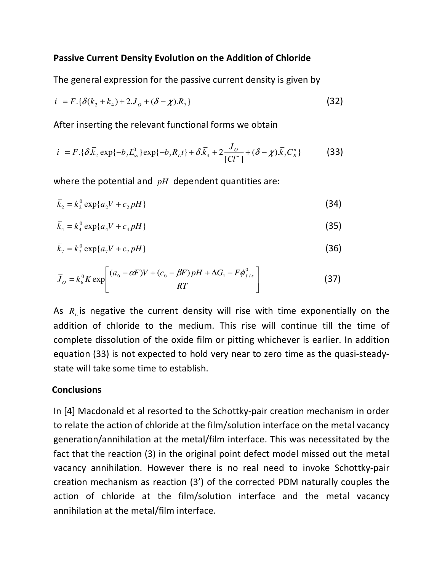### **Passive Current Density Evolution on the Addition of Chloride**

The general expression for the passive current density is given by

$$
i = F. \{ \delta(k_2 + k_4) + 2J_o + (\delta - \chi)R_7 \}
$$
 (32)

After inserting the relevant functional forms we obtain

$$
i = F \cdot {\delta \bar{k}_2} \exp{-b_2 L_{ss}^0} \exp{-b_2 R_L t} + \delta \bar{k}_4 + 2 \frac{\bar{J}_o}{[Cl^-]} + (\delta - \chi) \bar{k}_7 C_R^n
$$
 (33)

where the potential and *pH* dependent quantities are:

$$
\bar{k}_2 = k_2^0 \exp\{a_2 V + c_2 pH\}
$$
\n(34)

$$
\bar{k}_4 = k_4^0 \exp\{a_4 V + c_4 p H\} \tag{35}
$$

$$
\overline{k}_7 = k_7^0 \exp\{a_7 V + c_7 pH\}
$$
\n
$$
(36)
$$

$$
\bar{J}_o = k_6^0 K \exp \left[ \frac{(a_6 - \alpha F)V + (c_6 - \beta F)pH + \Delta G_1 - F\phi_{f/s}^0}{RT} \right]
$$
(37)

As *R<sup>L</sup>* is negative the current density will rise with time exponentially on the addition of chloride to the medium. This rise will continue till the time of complete dissolution of the oxide film or pitting whichever is earlier. In addition equation (33) is not expected to hold very near to zero time as the quasi-steadystate will take some time to establish.

### **Conclusions**

In [4] Macdonald et al resorted to the Schottky-pair creation mechanism in order to relate the action of chloride at the film/solution interface on the metal vacancy generation/annihilation at the metal/film interface. This was necessitated by the fact that the reaction (3) in the original point defect model missed out the metal vacancy annihilation. However there is no real need to invoke Schottky-pair creation mechanism as reaction (3') of the corrected PDM naturally couples the action of chloride at the film/solution interface and the metal vacancy annihilation at the metal/film interface.